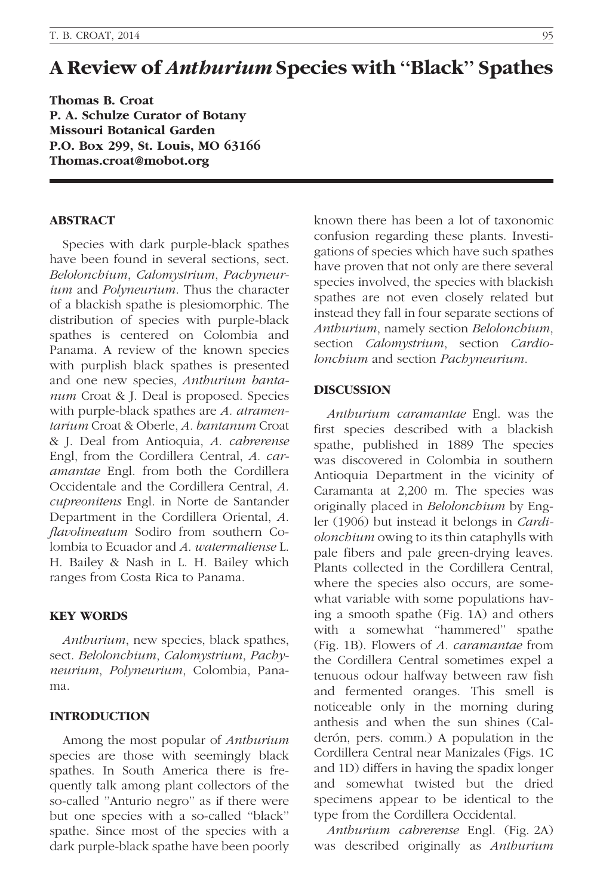# A Review of Anthurium Species with ''Black'' Spathes

Thomas B. Croat P. A. Schulze Curator of Botany Missouri Botanical Garden P.O. Box 299, St. Louis, MO 63166 Thomas.croat@mobot.org

#### ABSTRACT

Species with dark purple-black spathes have been found in several sections, sect. Belolonchium, Calomystrium, Pachyneurium and Polyneurium. Thus the character of a blackish spathe is plesiomorphic. The distribution of species with purple-black spathes is centered on Colombia and Panama. A review of the known species with purplish black spathes is presented and one new species, Anthurium bantanum Croat & J. Deal is proposed. Species with purple-black spathes are A. atramentarium Croat & Oberle, A. bantanum Croat & J. Deal from Antioquia, A. cabrerense Engl, from the Cordillera Central, A. caramantae Engl. from both the Cordillera Occidentale and the Cordillera Central, A. cupreonitens Engl. in Norte de Santander Department in the Cordillera Oriental, A. flavolineatum Sodiro from southern Colombia to Ecuador and A. watermaliense L. H. Bailey & Nash in L. H. Bailey which ranges from Costa Rica to Panama.

#### KEY WORDS

Anthurium, new species, black spathes, sect. Belolonchium, Calomystrium, Pachyneurium, Polyneurium, Colombia, Panama.

## INTRODUCTION

Among the most popular of Anthurium species are those with seemingly black spathes. In South America there is frequently talk among plant collectors of the so-called ''Anturio negro'' as if there were but one species with a so-called ''black'' spathe. Since most of the species with a dark purple-black spathe have been poorly

known there has been a lot of taxonomic confusion regarding these plants. Investigations of species which have such spathes have proven that not only are there several species involved, the species with blackish spathes are not even closely related but instead they fall in four separate sections of Anthurium, namely section Belolonchium, section *Calomystrium*, section *Cardio*lonchium and section Pachyneurium.

#### DISCUSSION

Anthurium caramantae Engl. was the first species described with a blackish spathe, published in 1889 The species was discovered in Colombia in southern Antioquia Department in the vicinity of Caramanta at 2,200 m. The species was originally placed in Belolonchium by Engler (1906) but instead it belongs in Cardiolonchium owing to its thin cataphylls with pale fibers and pale green-drying leaves. Plants collected in the Cordillera Central, where the species also occurs, are somewhat variable with some populations having a smooth spathe (Fig. 1A) and others with a somewhat "hammered" spathe (Fig. 1B). Flowers of A. caramantae from the Cordillera Central sometimes expel a tenuous odour halfway between raw fish and fermented oranges. This smell is noticeable only in the morning during anthesis and when the sun shines (Calderón, pers. comm.) A population in the Cordillera Central near Manizales (Figs. 1C and 1D) differs in having the spadix longer and somewhat twisted but the dried specimens appear to be identical to the type from the Cordillera Occidental.

Anthurium cabrerense Engl. (Fig. 2A) was described originally as Anthurium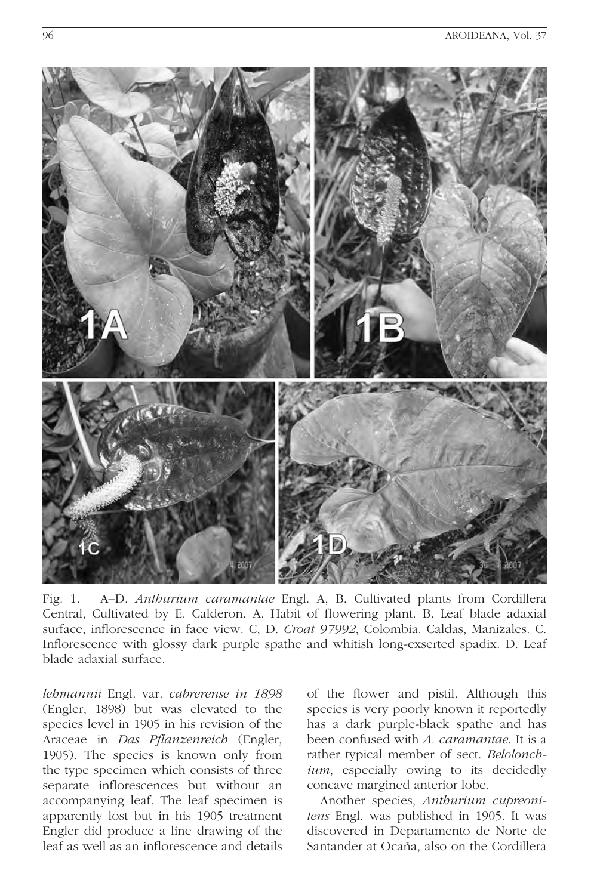

Fig. 1. A–D. Anthurium caramantae Engl. A, B. Cultivated plants from Cordillera Central, Cultivated by E. Calderon. A. Habit of flowering plant. B. Leaf blade adaxial surface, inflorescence in face view. C, D. Croat 97992, Colombia. Caldas, Manizales. C. Inflorescence with glossy dark purple spathe and whitish long-exserted spadix. D. Leaf blade adaxial surface.

lehmannii Engl. var. cabrerense in 1898 (Engler, 1898) but was elevated to the species level in 1905 in his revision of the Araceae in Das Pflanzenreich (Engler, 1905). The species is known only from the type specimen which consists of three separate inflorescences but without an accompanying leaf. The leaf specimen is apparently lost but in his 1905 treatment Engler did produce a line drawing of the leaf as well as an inflorescence and details of the flower and pistil. Although this species is very poorly known it reportedly has a dark purple-black spathe and has been confused with A. caramantae. It is a rather typical member of sect. Belolonchium, especially owing to its decidedly concave margined anterior lobe.

Another species, Anthurium cupreonitens Engl. was published in 1905. It was discovered in Departamento de Norte de Santander at Ocaña, also on the Cordillera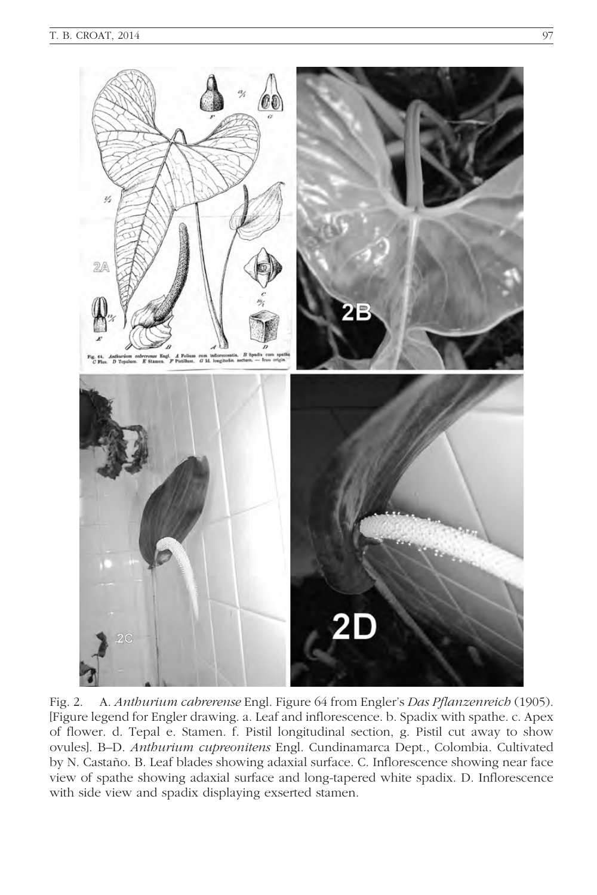

Fig. 2. A. Anthurium cabrerense Engl. Figure 64 from Engler's Das Pflanzenreich (1905). [Figure legend for Engler drawing. a. Leaf and inflorescence. b. Spadix with spathe. c. Apex of flower. d. Tepal e. Stamen. f. Pistil longitudinal section, g. Pistil cut away to show ovules]. B–D. Anthurium cupreonitens Engl. Cundinamarca Dept., Colombia. Cultivated by N. Castaño. B. Leaf blades showing adaxial surface. C. Inflorescence showing near face view of spathe showing adaxial surface and long-tapered white spadix. D. Inflorescence with side view and spadix displaying exserted stamen.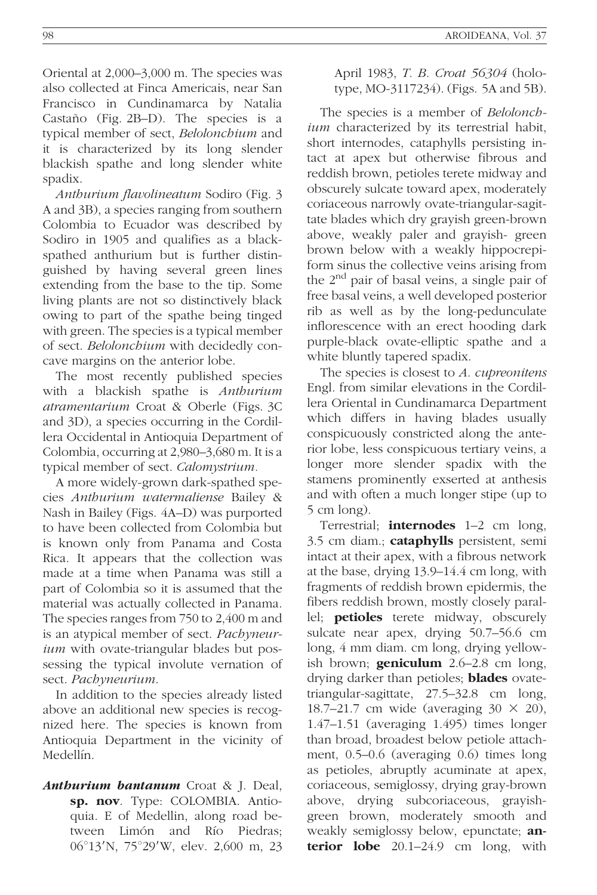Oriental at 2,000–3,000 m. The species was also collected at Finca Americais, near San Francisco in Cundinamarca by Natalia Castaño (Fig. 2B–D). The species is a typical member of sect, Belolonchium and it is characterized by its long slender blackish spathe and long slender white spadix.

Anthurium flavolineatum Sodiro (Fig. 3 A and 3B), a species ranging from southern Colombia to Ecuador was described by Sodiro in 1905 and qualifies as a blackspathed anthurium but is further distinguished by having several green lines extending from the base to the tip. Some living plants are not so distinctively black owing to part of the spathe being tinged with green. The species is a typical member of sect. Belolonchium with decidedly concave margins on the anterior lobe.

The most recently published species with a blackish spathe is Anthurium atramentarium Croat & Oberle (Figs. 3C and 3D), a species occurring in the Cordillera Occidental in Antioquia Department of Colombia, occurring at 2,980–3,680 m. It is a typical member of sect. Calomystrium.

A more widely-grown dark-spathed species Anthurium watermaliense Bailey & Nash in Bailey (Figs. 4A–D) was purported to have been collected from Colombia but is known only from Panama and Costa Rica. It appears that the collection was made at a time when Panama was still a part of Colombia so it is assumed that the material was actually collected in Panama. The species ranges from 750 to 2,400 m and is an atypical member of sect. Pachyneurium with ovate-triangular blades but possessing the typical involute vernation of sect. Pachyneurium.

In addition to the species already listed above an additional new species is recognized here. The species is known from Antioquia Department in the vicinity of Medellín.

Anthurium bantanum Croat & J. Deal, sp. nov. Type: COLOMBIA. Antioquia. E of Medellin, along road between Limón and Río Piedras; 06°13'N, 75°29'W, elev. 2,600 m, 23 April 1983, T. B. Croat 56304 (holotype, MO-3117234). (Figs. 5A and 5B).

The species is a member of *Belolonch*ium characterized by its terrestrial habit, short internodes, cataphylls persisting intact at apex but otherwise fibrous and reddish brown, petioles terete midway and obscurely sulcate toward apex, moderately coriaceous narrowly ovate-triangular-sagittate blades which dry grayish green-brown above, weakly paler and grayish- green brown below with a weakly hippocrepiform sinus the collective veins arising from the 2<sup>nd</sup> pair of basal veins, a single pair of free basal veins, a well developed posterior rib as well as by the long-pedunculate inflorescence with an erect hooding dark purple-black ovate-elliptic spathe and a white bluntly tapered spadix.

The species is closest to A. *cupreonitens* Engl. from similar elevations in the Cordillera Oriental in Cundinamarca Department which differs in having blades usually conspicuously constricted along the anterior lobe, less conspicuous tertiary veins, a longer more slender spadix with the stamens prominently exserted at anthesis and with often a much longer stipe (up to 5 cm long).

Terrestrial; **internodes** 1–2 cm long, 3.5 cm diam.; **cataphylls** persistent, semi intact at their apex, with a fibrous network at the base, drying 13.9–14.4 cm long, with fragments of reddish brown epidermis, the fibers reddish brown, mostly closely parallel; petioles terete midway, obscurely sulcate near apex, drying 50.7–56.6 cm long, 4 mm diam. cm long, drying yellowish brown; **geniculum**  $2.6-2.8$  cm long, drying darker than petioles; **blades** ovatetriangular-sagittate, 27.5–32.8 cm long, 18.7–21.7 cm wide (averaging  $30 \times 20$ ), 1.47–1.51 (averaging 1.495) times longer than broad, broadest below petiole attachment, 0.5–0.6 (averaging 0.6) times long as petioles, abruptly acuminate at apex, coriaceous, semiglossy, drying gray-brown above, drying subcoriaceous, grayishgreen brown, moderately smooth and weakly semiglossy below, epunctate; **an**terior  $lobe$   $20.1-24.9$  cm  $long$ , with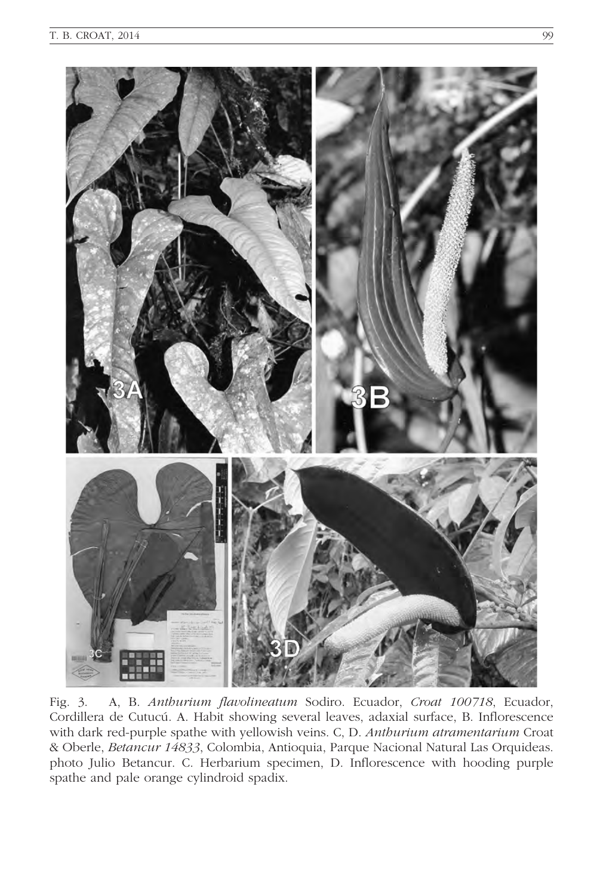

Fig. 3. A, B. Anthurium flavolineatum Sodiro. Ecuador, Croat 100718, Ecuador, Cordillera de Cutucú. A. Habit showing several leaves, adaxial surface, B. Inflorescence with dark red-purple spathe with yellowish veins. C, D. Anthurium atramentarium Croat & Oberle, Betancur 14833, Colombia, Antioquia, Parque Nacional Natural Las Orquideas. photo Julio Betancur. C. Herbarium specimen, D. Inflorescence with hooding purple spathe and pale orange cylindroid spadix.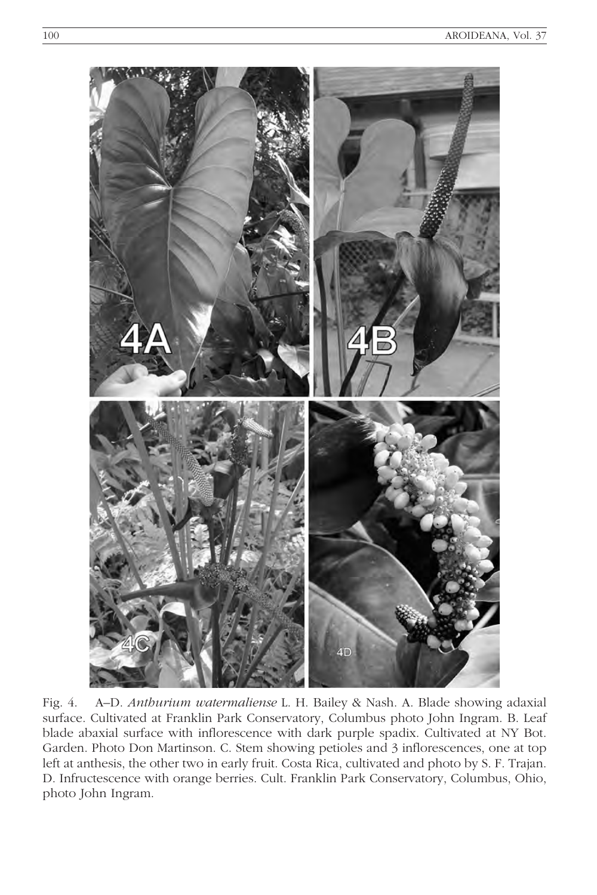

Fig. 4. A–D. Anthurium watermaliense L. H. Bailey & Nash. A. Blade showing adaxial surface. Cultivated at Franklin Park Conservatory, Columbus photo John Ingram. B. Leaf blade abaxial surface with inflorescence with dark purple spadix. Cultivated at NY Bot. Garden. Photo Don Martinson. C. Stem showing petioles and 3 inflorescences, one at top left at anthesis, the other two in early fruit. Costa Rica, cultivated and photo by S. F. Trajan. D. Infructescence with orange berries. Cult. Franklin Park Conservatory, Columbus, Ohio, photo John Ingram.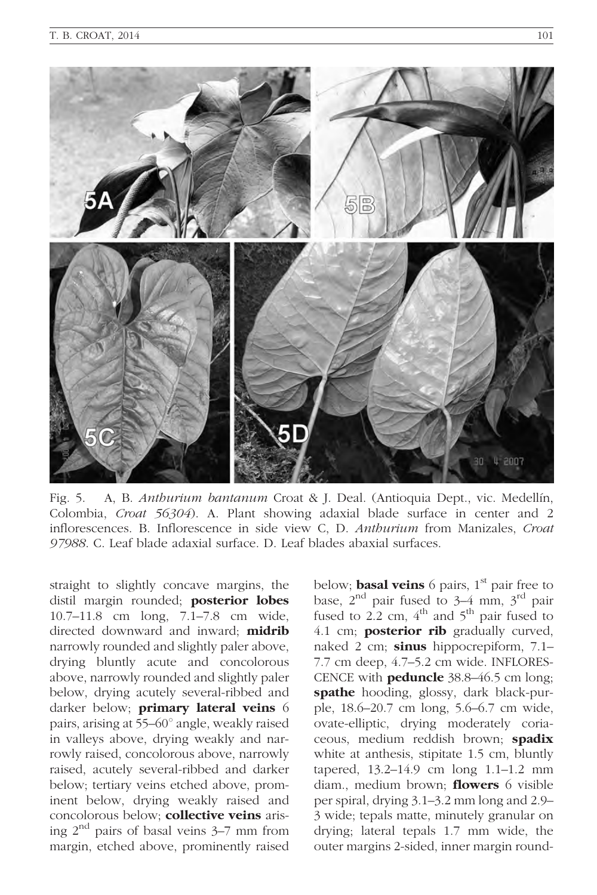

Fig. 5. A, B. Anthurium bantanum Croat & J. Deal. (Antioquia Dept., vic. Medellín, Colombia, Croat 56304). A. Plant showing adaxial blade surface in center and 2 inflorescences. B. Inflorescence in side view C, D. Anthurium from Manizales, Croat 97988. C. Leaf blade adaxial surface. D. Leaf blades abaxial surfaces.

straight to slightly concave margins, the distil margin rounded; posterior lobes 10.7–11.8 cm long, 7.1–7.8 cm wide, directed downward and inward; midrib narrowly rounded and slightly paler above, drying bluntly acute and concolorous above, narrowly rounded and slightly paler below, drying acutely several-ribbed and darker below; primary lateral veins 6 pairs, arising at 55–60° angle, weakly raised in valleys above, drying weakly and narrowly raised, concolorous above, narrowly raised, acutely several-ribbed and darker below; tertiary veins etched above, prominent below, drying weakly raised and concolorous below; **collective veins** arising  $2^{nd}$  pairs of basal veins  $3-7$  mm from margin, etched above, prominently raised

below; **basal veins** 6 pairs,  $1<sup>st</sup>$  pair free to base,  $2<sup>nd</sup>$  pair fused to  $3-4$  mm,  $3<sup>rd</sup>$  pair fused to 2.2 cm,  $4<sup>th</sup>$  and  $5<sup>th</sup>$  pair fused to 4.1 cm; **posterior rib** gradually curved, naked 2 cm; sinus hippocrepiform, 7.1-7.7 cm deep, 4.7–5.2 cm wide. INFLORES-CENCE with peduncle 38.8–46.5 cm long; spathe hooding, glossy, dark black-purple, 18.6–20.7 cm long, 5.6–6.7 cm wide, ovate-elliptic, drying moderately coriaceous, medium reddish brown; spadix white at anthesis, stipitate 1.5 cm, bluntly tapered, 13.2–14.9 cm long 1.1–1.2 mm diam., medium brown; **flowers** 6 visible per spiral, drying 3.1–3.2 mm long and 2.9– 3 wide; tepals matte, minutely granular on drying; lateral tepals 1.7 mm wide, the outer margins 2-sided, inner margin round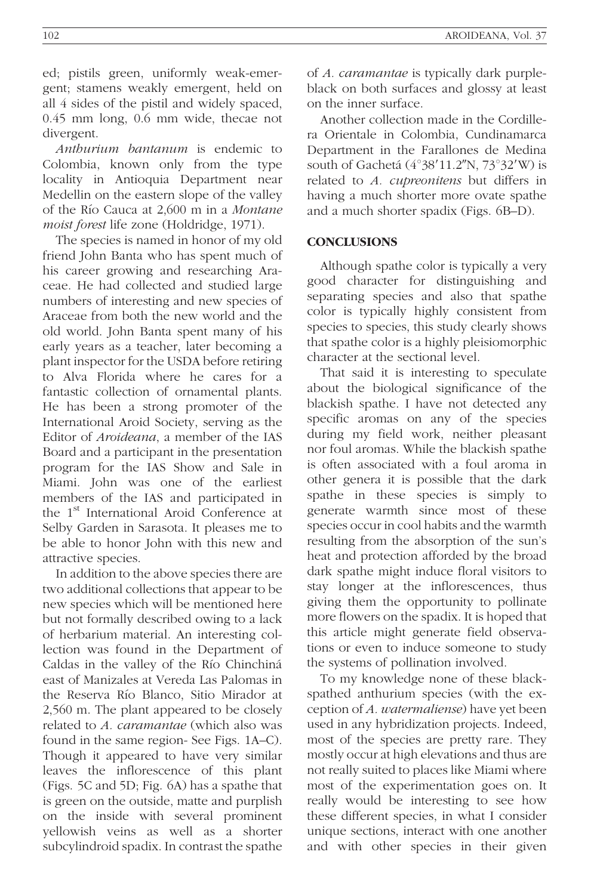ed; pistils green, uniformly weak-emergent; stamens weakly emergent, held on all 4 sides of the pistil and widely spaced, 0.45 mm long, 0.6 mm wide, thecae not divergent.

Anthurium bantanum is endemic to Colombia, known only from the type locality in Antioquia Department near Medellin on the eastern slope of the valley of the Rı´o Cauca at 2,600 m in a Montane moist forest life zone (Holdridge, 1971).

The species is named in honor of my old friend John Banta who has spent much of his career growing and researching Araceae. He had collected and studied large numbers of interesting and new species of Araceae from both the new world and the old world. John Banta spent many of his early years as a teacher, later becoming a plant inspector for the USDA before retiring to Alva Florida where he cares for a fantastic collection of ornamental plants. He has been a strong promoter of the International Aroid Society, serving as the Editor of Aroideana, a member of the IAS Board and a participant in the presentation program for the IAS Show and Sale in Miami. John was one of the earliest members of the IAS and participated in the 1<sup>st</sup> International Aroid Conference at Selby Garden in Sarasota. It pleases me to be able to honor John with this new and attractive species.

In addition to the above species there are two additional collections that appear to be new species which will be mentioned here but not formally described owing to a lack of herbarium material. An interesting collection was found in the Department of Caldas in the valley of the Río Chinchiná east of Manizales at Vereda Las Palomas in the Reserva Río Blanco, Sitio Mirador at 2,560 m. The plant appeared to be closely related to A. caramantae (which also was found in the same region- See Figs. 1A–C). Though it appeared to have very similar leaves the inflorescence of this plant (Figs. 5C and 5D; Fig. 6A) has a spathe that is green on the outside, matte and purplish on the inside with several prominent yellowish veins as well as a shorter subcylindroid spadix. In contrast the spathe

of A. caramantae is typically dark purpleblack on both surfaces and glossy at least on the inner surface.

Another collection made in the Cordillera Orientale in Colombia, Cundinamarca Department in the Farallones de Medina south of Gachetá  $(4^{\circ}38'11.2''N, 73^{\circ}32'W)$  is related to A. cupreonitens but differs in having a much shorter more ovate spathe and a much shorter spadix (Figs. 6B–D).

## **CONCLUSIONS**

Although spathe color is typically a very good character for distinguishing and separating species and also that spathe color is typically highly consistent from species to species, this study clearly shows that spathe color is a highly pleisiomorphic character at the sectional level.

That said it is interesting to speculate about the biological significance of the blackish spathe. I have not detected any specific aromas on any of the species during my field work, neither pleasant nor foul aromas. While the blackish spathe is often associated with a foul aroma in other genera it is possible that the dark spathe in these species is simply to generate warmth since most of these species occur in cool habits and the warmth resulting from the absorption of the sun's heat and protection afforded by the broad dark spathe might induce floral visitors to stay longer at the inflorescences, thus giving them the opportunity to pollinate more flowers on the spadix. It is hoped that this article might generate field observations or even to induce someone to study the systems of pollination involved.

To my knowledge none of these blackspathed anthurium species (with the exception of A. watermaliense) have yet been used in any hybridization projects. Indeed, most of the species are pretty rare. They mostly occur at high elevations and thus are not really suited to places like Miami where most of the experimentation goes on. It really would be interesting to see how these different species, in what I consider unique sections, interact with one another and with other species in their given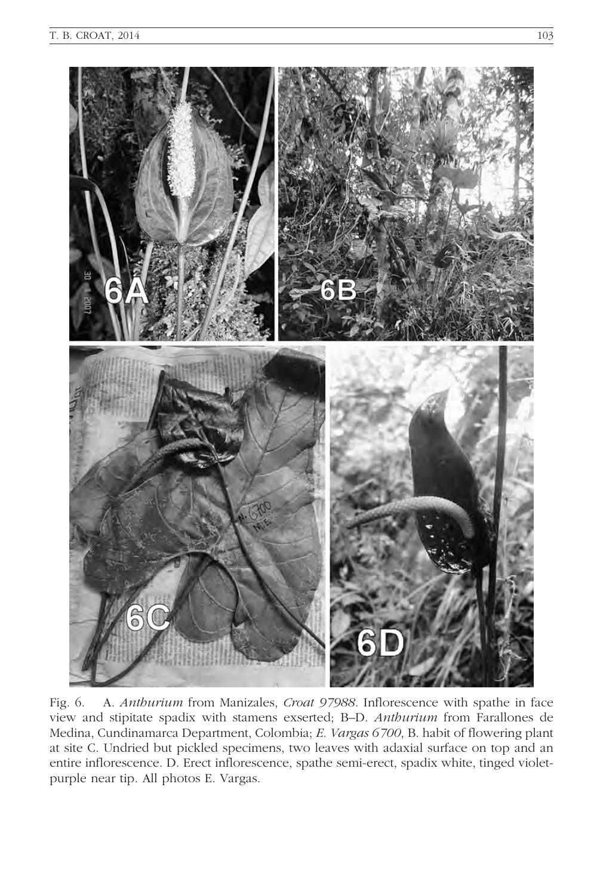

Fig. 6. A. Anthurium from Manizales, Croat 97988. Inflorescence with spathe in face view and stipitate spadix with stamens exserted; B–D. Anthurium from Farallones de Medina, Cundinamarca Department, Colombia; E. Vargas 6700, B. habit of flowering plant at site C. Undried but pickled specimens, two leaves with adaxial surface on top and an entire inflorescence. D. Erect inflorescence, spathe semi-erect, spadix white, tinged violetpurple near tip. All photos E. Vargas.